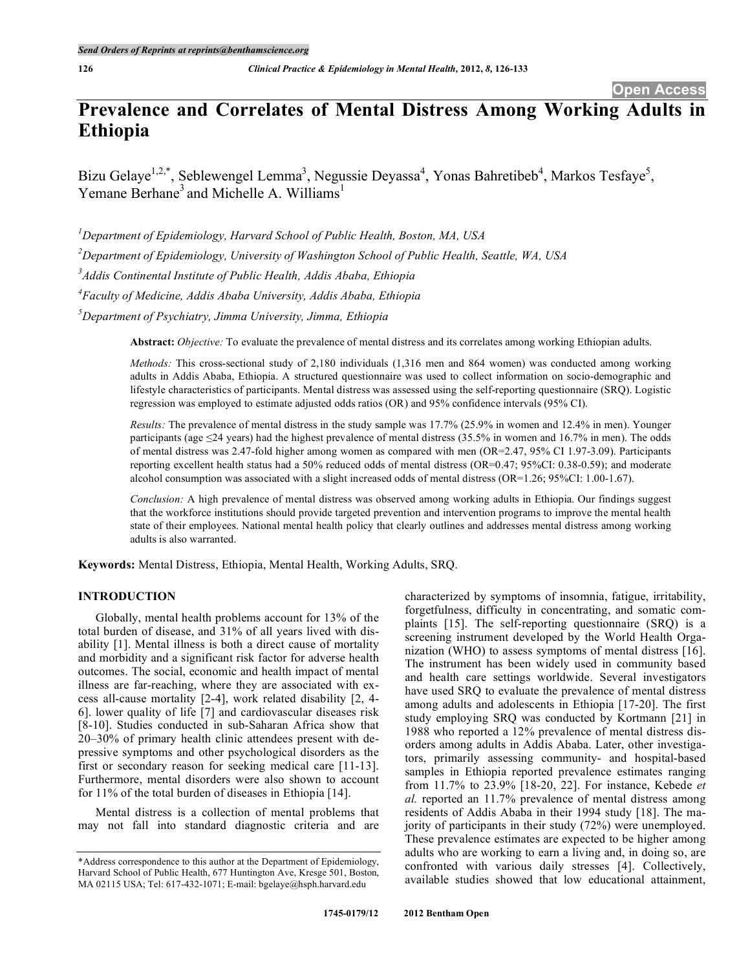# **Prevalence and Correlates of Mental Distress Among Working Adults in Ethiopia**

Bizu Gelaye<sup>1,2,\*</sup>, Seblewengel Lemma<sup>3</sup>, Negussie Deyassa<sup>4</sup>, Yonas Bahretibeb<sup>4</sup>, Markos Tesfaye<sup>5</sup>, Yemane Berhane<sup>3</sup> and Michelle A. Williams<sup>1</sup>

 *Department of Epidemiology, Harvard School of Public Health, Boston, MA, USA Department of Epidemiology, University of Washington School of Public Health, Seattle, WA, USA Addis Continental Institute of Public Health, Addis Ababa, Ethiopia Faculty of Medicine, Addis Ababa University, Addis Ababa, Ethiopia Department of Psychiatry, Jimma University, Jimma, Ethiopia*

**Abstract:** *Objective:* To evaluate the prevalence of mental distress and its correlates among working Ethiopian adults.

*Methods:* This cross-sectional study of 2,180 individuals (1,316 men and 864 women) was conducted among working adults in Addis Ababa, Ethiopia. A structured questionnaire was used to collect information on socio-demographic and lifestyle characteristics of participants. Mental distress was assessed using the self-reporting questionnaire (SRQ). Logistic regression was employed to estimate adjusted odds ratios (OR) and 95% confidence intervals (95% CI).

*Results:* The prevalence of mental distress in the study sample was 17.7% (25.9% in women and 12.4% in men). Younger participants (age  $\leq$ 24 years) had the highest prevalence of mental distress (35.5% in women and 16.7% in men). The odds of mental distress was 2.47-fold higher among women as compared with men (OR=2.47, 95% CI 1.97-3.09). Participants reporting excellent health status had a 50% reduced odds of mental distress (OR=0.47; 95%CI: 0.38-0.59); and moderate alcohol consumption was associated with a slight increased odds of mental distress (OR=1.26; 95%CI: 1.00-1.67).

*Conclusion:* A high prevalence of mental distress was observed among working adults in Ethiopia. Our findings suggest that the workforce institutions should provide targeted prevention and intervention programs to improve the mental health state of their employees. National mental health policy that clearly outlines and addresses mental distress among working adults is also warranted.

**Keywords:** Mental Distress, Ethiopia, Mental Health, Working Adults, SRQ.

# **INTRODUCTION**

Globally, mental health problems account for 13% of the total burden of disease, and 31% of all years lived with disability [1]. Mental illness is both a direct cause of mortality and morbidity and a significant risk factor for adverse health outcomes. The social, economic and health impact of mental illness are far-reaching, where they are associated with excess all-cause mortality [2-4], work related disability [2, 4- 6]. lower quality of life [7] and cardiovascular diseases risk [8-10]. Studies conducted in sub-Saharan Africa show that 20–30% of primary health clinic attendees present with depressive symptoms and other psychological disorders as the first or secondary reason for seeking medical care [11-13]. Furthermore, mental disorders were also shown to account for 11% of the total burden of diseases in Ethiopia [14].

Mental distress is a collection of mental problems that may not fall into standard diagnostic criteria and are

characterized by symptoms of insomnia, fatigue, irritability, forgetfulness, difficulty in concentrating, and somatic complaints [15]. The self-reporting questionnaire (SRQ) is a screening instrument developed by the World Health Organization (WHO) to assess symptoms of mental distress [16]. The instrument has been widely used in community based and health care settings worldwide. Several investigators have used SRQ to evaluate the prevalence of mental distress among adults and adolescents in Ethiopia [17-20]. The first study employing SRQ was conducted by Kortmann [21] in 1988 who reported a 12% prevalence of mental distress disorders among adults in Addis Ababa. Later, other investigators, primarily assessing community- and hospital-based samples in Ethiopia reported prevalence estimates ranging from 11.7% to 23.9% [18-20, 22]. For instance, Kebede *et al.* reported an 11.7% prevalence of mental distress among residents of Addis Ababa in their 1994 study [18]. The majority of participants in their study (72%) were unemployed. These prevalence estimates are expected to be higher among adults who are working to earn a living and, in doing so, are confronted with various daily stresses [4]. Collectively, available studies showed that low educational attainment,

<sup>\*</sup>Address correspondence to this author at the Department of Epidemiology, Harvard School of Public Health, 677 Huntington Ave, Kresge 501, Boston, MA 02115 USA; Tel: 617-432-1071; E-mail: bgelaye@hsph.harvard.edu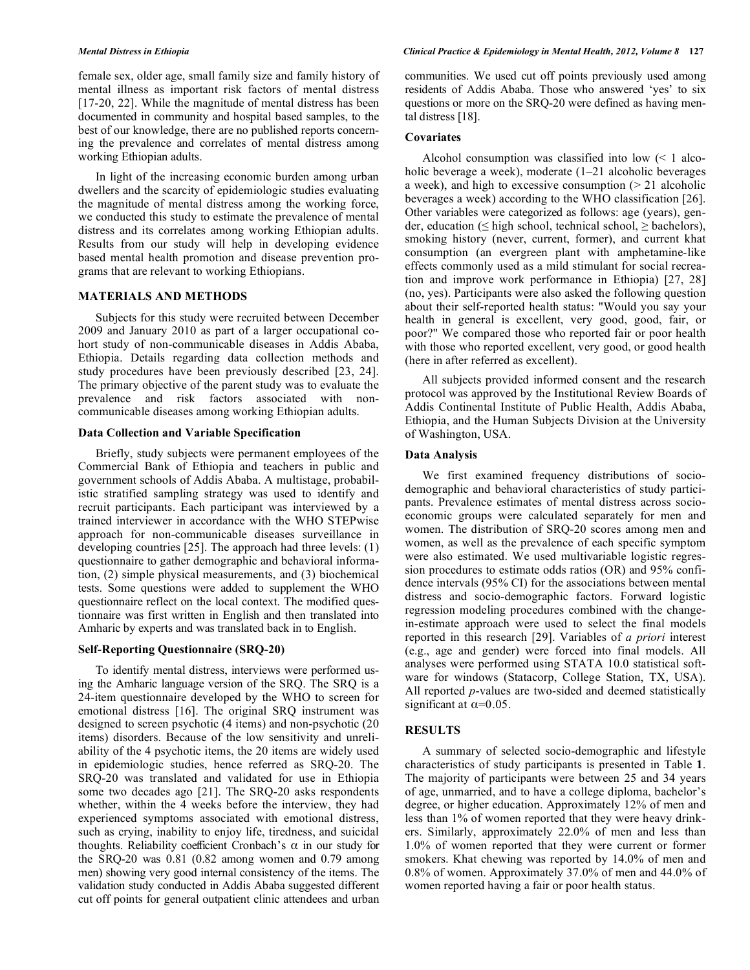female sex, older age, small family size and family history of mental illness as important risk factors of mental distress [17-20, 22]. While the magnitude of mental distress has been documented in community and hospital based samples, to the best of our knowledge, there are no published reports concerning the prevalence and correlates of mental distress among working Ethiopian adults.

In light of the increasing economic burden among urban dwellers and the scarcity of epidemiologic studies evaluating the magnitude of mental distress among the working force, we conducted this study to estimate the prevalence of mental distress and its correlates among working Ethiopian adults. Results from our study will help in developing evidence based mental health promotion and disease prevention programs that are relevant to working Ethiopians.

#### **MATERIALS AND METHODS**

Subjects for this study were recruited between December 2009 and January 2010 as part of a larger occupational cohort study of non-communicable diseases in Addis Ababa, Ethiopia. Details regarding data collection methods and study procedures have been previously described [23, 24]. The primary objective of the parent study was to evaluate the prevalence and risk factors associated with noncommunicable diseases among working Ethiopian adults.

#### **Data Collection and Variable Specification**

Briefly, study subjects were permanent employees of the Commercial Bank of Ethiopia and teachers in public and government schools of Addis Ababa. A multistage, probabilistic stratified sampling strategy was used to identify and recruit participants. Each participant was interviewed by a trained interviewer in accordance with the WHO STEPwise approach for non-communicable diseases surveillance in developing countries [25]. The approach had three levels: (1) questionnaire to gather demographic and behavioral information, (2) simple physical measurements, and (3) biochemical tests. Some questions were added to supplement the WHO questionnaire reflect on the local context. The modified questionnaire was first written in English and then translated into Amharic by experts and was translated back in to English.

#### **Self-Reporting Questionnaire (SRQ-20)**

To identify mental distress, interviews were performed using the Amharic language version of the SRQ. The SRQ is a 24-item questionnaire developed by the WHO to screen for emotional distress [16]. The original SRQ instrument was designed to screen psychotic (4 items) and non-psychotic (20 items) disorders. Because of the low sensitivity and unreliability of the 4 psychotic items, the 20 items are widely used in epidemiologic studies, hence referred as SRQ-20. The SRQ-20 was translated and validated for use in Ethiopia some two decades ago [21]. The SRQ-20 asks respondents whether, within the 4 weeks before the interview, they had experienced symptoms associated with emotional distress, such as crying, inability to enjoy life, tiredness, and suicidal thoughts. Reliability coefficient Cronbach's α in our study for the SRQ-20 was 0.81 (0.82 among women and 0.79 among men) showing very good internal consistency of the items. The validation study conducted in Addis Ababa suggested different cut off points for general outpatient clinic attendees and urban

communities. We used cut off points previously used among residents of Addis Ababa. Those who answered 'yes' to six questions or more on the SRQ-20 were defined as having mental distress [18].

### **Covariates**

Alcohol consumption was classified into low  $\leq 1$  alcoholic beverage a week), moderate  $(1-21)$  alcoholic beverages a week), and high to excessive consumption  $(21 \text{ alcoholic})$ beverages a week) according to the WHO classification [26]. Other variables were categorized as follows: age (years), gender, education ( $\leq$  high school, technical school,  $\geq$  bachelors), smoking history (never, current, former), and current khat consumption (an evergreen plant with amphetamine-like effects commonly used as a mild stimulant for social recreation and improve work performance in Ethiopia) [27, 28] (no, yes). Participants were also asked the following question about their self-reported health status: "Would you say your health in general is excellent, very good, good, fair, or poor?" We compared those who reported fair or poor health with those who reported excellent, very good, or good health (here in after referred as excellent).

All subjects provided informed consent and the research protocol was approved by the Institutional Review Boards of Addis Continental Institute of Public Health, Addis Ababa, Ethiopia, and the Human Subjects Division at the University of Washington, USA.

#### **Data Analysis**

We first examined frequency distributions of sociodemographic and behavioral characteristics of study participants. Prevalence estimates of mental distress across socioeconomic groups were calculated separately for men and women. The distribution of SRQ-20 scores among men and women, as well as the prevalence of each specific symptom were also estimated. We used multivariable logistic regression procedures to estimate odds ratios (OR) and 95% confidence intervals (95% CI) for the associations between mental distress and socio-demographic factors. Forward logistic regression modeling procedures combined with the changein-estimate approach were used to select the final models reported in this research [29]. Variables of *a priori* interest (e.g., age and gender) were forced into final models. All analyses were performed using STATA 10.0 statistical software for windows (Statacorp, College Station, TX, USA). All reported *p*-values are two-sided and deemed statistically significant at  $\alpha$ =0.05.

#### **RESULTS**

A summary of selected socio-demographic and lifestyle characteristics of study participants is presented in Table **1**. The majority of participants were between 25 and 34 years of age, unmarried, and to have a college diploma, bachelor's degree, or higher education. Approximately 12% of men and less than 1% of women reported that they were heavy drinkers. Similarly, approximately 22.0% of men and less than 1.0% of women reported that they were current or former smokers. Khat chewing was reported by 14.0% of men and 0.8% of women. Approximately 37.0% of men and 44.0% of women reported having a fair or poor health status.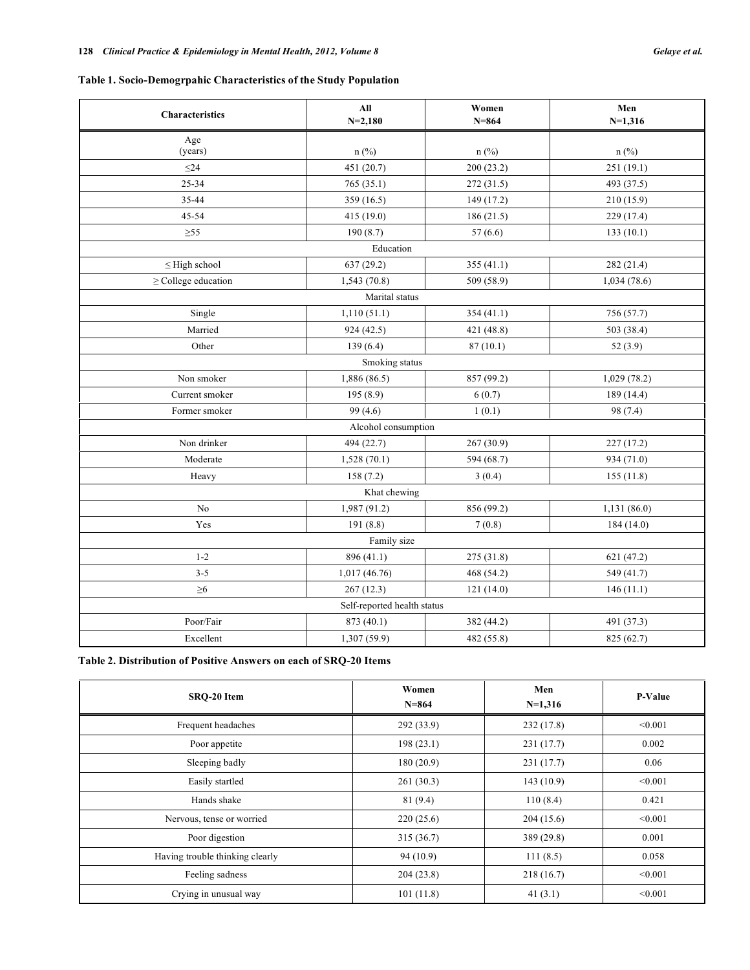# **Table 1. Socio-Demogrpahic Characteristics of the Study Population**

| Characteristics          | $\mathbf{All}$<br>$N=2,180$ | Women<br>$N = 864$ | Men<br>$N=1,316$ |  |  |
|--------------------------|-----------------------------|--------------------|------------------|--|--|
|                          |                             |                    |                  |  |  |
| Age<br>(years)           | $n$ (%)                     | $n$ (%)            | $n$ (%)          |  |  |
| $\leq$ 24                | 451 (20.7)                  | 200 (23.2)         | 251 (19.1)       |  |  |
| 25-34                    | 765 (35.1)                  | 272 (31.5)         | 493 (37.5)       |  |  |
| 35-44                    | 359 (16.5)                  | 149 (17.2)         | 210(15.9)        |  |  |
| 45-54                    | 415 (19.0)                  | 186(21.5)          | 229(17.4)        |  |  |
| $\geq 55$                | 190(8.7)                    | 57(6.6)            | 133(10.1)        |  |  |
|                          | Education                   |                    |                  |  |  |
| $\leq$ High school       | 637 (29.2)                  | 355 (41.1)         | 282 (21.4)       |  |  |
| $\geq$ College education | 1,543(70.8)                 | 509 (58.9)         | 1,034(78.6)      |  |  |
|                          | Marital status              |                    |                  |  |  |
| Single                   | 1,110(51.1)                 | 354 (41.1)         | 756 (57.7)       |  |  |
| Married                  | 924(42.5)                   | 421 (48.8)         | 503 (38.4)       |  |  |
| Other                    | 139(6.4)                    | 87(10.1)           | 52 (3.9)         |  |  |
|                          | Smoking status              |                    |                  |  |  |
| Non smoker               | 1,886 (86.5)                | 857 (99.2)         | 1,029(78.2)      |  |  |
| Current smoker           | 195(8.9)                    | 6(0.7)             | 189 (14.4)       |  |  |
| Former smoker            | 99 (4.6)                    | 1(0.1)             | 98 (7.4)         |  |  |
|                          | Alcohol consumption         |                    |                  |  |  |
| Non drinker              | 494 (22.7)                  | 267 (30.9)         | 227(17.2)        |  |  |
| Moderate                 | 1,528(70.1)                 | 594 (68.7)         | 934 (71.0)       |  |  |
| Heavy                    | 158(7.2)                    | 3(0.4)             | 155(11.8)        |  |  |
| Khat chewing             |                             |                    |                  |  |  |
| No                       | 1,987 (91.2)                | 856 (99.2)         | 1,131 (86.0)     |  |  |
| Yes                      | 191 (8.8)                   | 7(0.8)             | 184(14.0)        |  |  |
| Family size              |                             |                    |                  |  |  |
| $1 - 2$                  | 896 (41.1)                  | 275 (31.8)         | 621 (47.2)       |  |  |
| $3 - 5$                  | 1,017 (46.76)               | 468 (54.2)         | 549 (41.7)       |  |  |
| $\geq 6$                 | 267(12.3)                   | 121(14.0)          | 146(11.1)        |  |  |
|                          | Self-reported health status |                    |                  |  |  |
| Poor/Fair                | 873 (40.1)                  | 382 (44.2)         | 491 (37.3)       |  |  |
| Excellent                | 1,307 (59.9)                | 482 (55.8)         | 825 (62.7)       |  |  |

|  | Table 2. Distribution of Positive Answers on each of SRQ-20 Items |  |  |  |  |
|--|-------------------------------------------------------------------|--|--|--|--|
|--|-------------------------------------------------------------------|--|--|--|--|

| SRO-20 Item                     | Women<br>$N = 864$ | Men<br>$N=1,316$ | P-Value |
|---------------------------------|--------------------|------------------|---------|
| Frequent headaches              | 292(33.9)          | 232(17.8)        | < 0.001 |
| Poor appetite                   | 198(23.1)          | 231(17.7)        | 0.002   |
| Sleeping badly                  | 180(20.9)          | 231(17.7)        | 0.06    |
| Easily startled                 | 261(30.3)          | 143(10.9)        | < 0.001 |
| Hands shake                     | 81 (9.4)           | 110(8.4)         | 0.421   |
| Nervous, tense or worried       | 220(25.6)          | 204(15.6)        | < 0.001 |
| Poor digestion                  | 315(36.7)          | 389(29.8)        | 0.001   |
| Having trouble thinking clearly | 94(10.9)           | 111(8.5)         | 0.058   |
| Feeling sadness                 | 204(23.8)          | 218(16.7)        | < 0.001 |
| Crying in unusual way           | 101(11.8)          | 41(3.1)          | < 0.001 |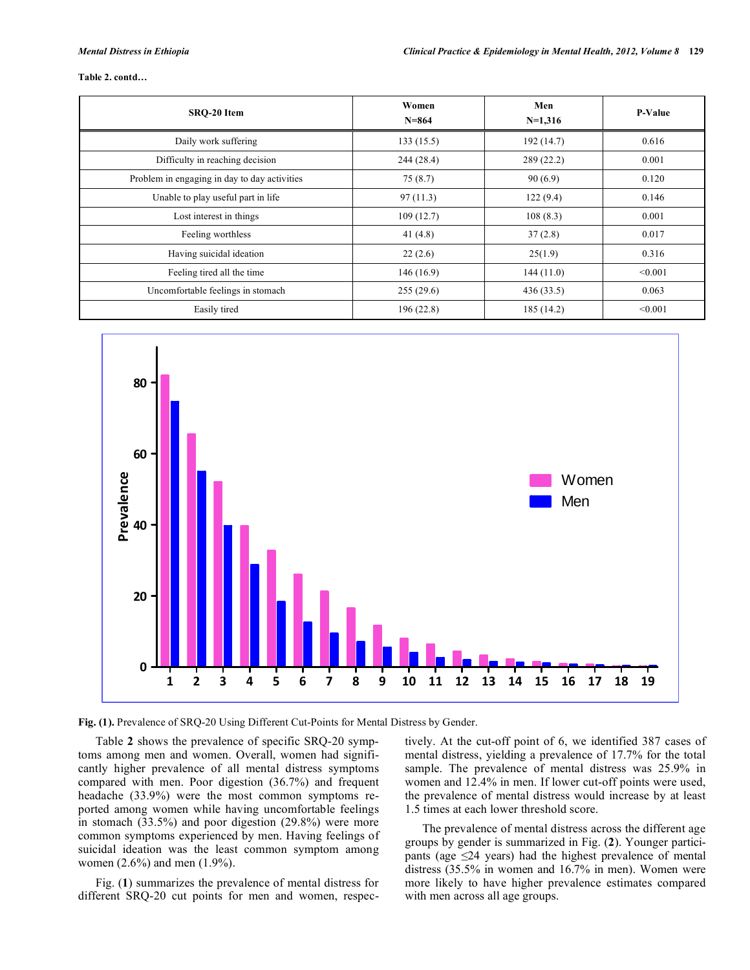#### **Table 2. contd…**

| SRO-20 Item                                  | Women<br>$N = 864$ | Men<br>$N=1,316$ | <b>P-Value</b> |
|----------------------------------------------|--------------------|------------------|----------------|
| Daily work suffering                         | 133(15.5)          | 192(14.7)        | 0.616          |
| Difficulty in reaching decision              | 244(28.4)          | 289(22.2)        | 0.001          |
| Problem in engaging in day to day activities | 75(8.7)            | 90(6.9)          | 0.120          |
| Unable to play useful part in life           | 97(11.3)           | 122(9.4)         | 0.146          |
| Lost interest in things                      | 109(12.7)          | 108(8.3)         | 0.001          |
| Feeling worthless                            | 41 $(4.8)$         | 37(2.8)          | 0.017          |
| Having suicidal ideation                     | 22(2.6)            | 25(1.9)          | 0.316          |
| Feeling tired all the time                   | 146(16.9)          | 144(11.0)        | < 0.001        |
| Uncomfortable feelings in stomach            | 255(29.6)          | 436(33.5)        | 0.063          |
| Easily tired                                 | 196(22.8)          | 185 (14.2)       | < 0.001        |



**Fig. (1).** Prevalence of SRQ-20 Using Different Cut-Points for Mental Distress by Gender.

Table **2** shows the prevalence of specific SRQ-20 symptoms among men and women. Overall, women had significantly higher prevalence of all mental distress symptoms compared with men. Poor digestion (36.7%) and frequent headache (33.9%) were the most common symptoms reported among women while having uncomfortable feelings in stomach (33.5%) and poor digestion (29.8%) were more common symptoms experienced by men. Having feelings of suicidal ideation was the least common symptom among women (2.6%) and men (1.9%).

Fig. (**1**) summarizes the prevalence of mental distress for different SRQ-20 cut points for men and women, respectively. At the cut-off point of 6, we identified 387 cases of mental distress, yielding a prevalence of 17.7% for the total sample. The prevalence of mental distress was 25.9% in women and 12.4% in men. If lower cut-off points were used, the prevalence of mental distress would increase by at least 1.5 times at each lower threshold score.

The prevalence of mental distress across the different age groups by gender is summarized in Fig. (**2**). Younger participants (age  $\leq$ 24 years) had the highest prevalence of mental distress (35.5% in women and 16.7% in men). Women were more likely to have higher prevalence estimates compared with men across all age groups.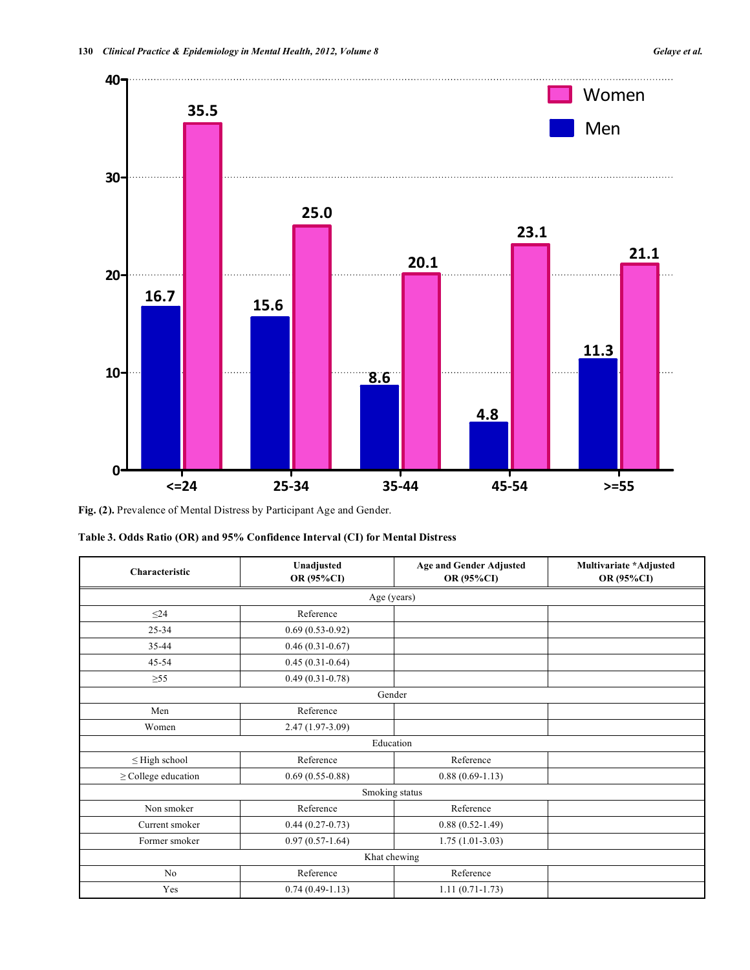

**Fig. (2).** Prevalence of Mental Distress by Participant Age and Gender.

|  |  |  |  |  |  | Table 3. Odds Ratio (OR) and 95% Confidence Interval (CI) for Mental Distress |
|--|--|--|--|--|--|-------------------------------------------------------------------------------|
|--|--|--|--|--|--|-------------------------------------------------------------------------------|

| Characteristic           | Unadjusted<br>OR (95%CI) | <b>Age and Gender Adjusted</b><br>OR (95%CI) | Multivariate *Adjusted<br>OR (95%CI) |  |  |  |  |
|--------------------------|--------------------------|----------------------------------------------|--------------------------------------|--|--|--|--|
|                          | Age (years)              |                                              |                                      |  |  |  |  |
| $\leq$ 24                | Reference                |                                              |                                      |  |  |  |  |
| $25 - 34$                | $0.69(0.53-0.92)$        |                                              |                                      |  |  |  |  |
| 35-44                    | $0.46(0.31-0.67)$        |                                              |                                      |  |  |  |  |
| $45 - 54$                | $0.45(0.31-0.64)$        |                                              |                                      |  |  |  |  |
| $\geq 55$                | $0.49(0.31-0.78)$        |                                              |                                      |  |  |  |  |
|                          | Gender                   |                                              |                                      |  |  |  |  |
| Men                      | Reference                |                                              |                                      |  |  |  |  |
| Women                    | 2.47 (1.97-3.09)         |                                              |                                      |  |  |  |  |
|                          | Education                |                                              |                                      |  |  |  |  |
| $\leq$ High school       | Reference                | Reference                                    |                                      |  |  |  |  |
| $\geq$ College education | $0.69(0.55-0.88)$        | $0.88(0.69-1.13)$                            |                                      |  |  |  |  |
| Smoking status           |                          |                                              |                                      |  |  |  |  |
| Non smoker               | Reference<br>Reference   |                                              |                                      |  |  |  |  |
| Current smoker           | $0.44(0.27-0.73)$        | $0.88(0.52-1.49)$                            |                                      |  |  |  |  |
| Former smoker            | $0.97(0.57-1.64)$        | $1.75(1.01-3.03)$                            |                                      |  |  |  |  |
| Khat chewing             |                          |                                              |                                      |  |  |  |  |
| N <sub>0</sub>           | Reference                | Reference                                    |                                      |  |  |  |  |
| Yes                      | $0.74(0.49-1.13)$        | $1.11(0.71-1.73)$                            |                                      |  |  |  |  |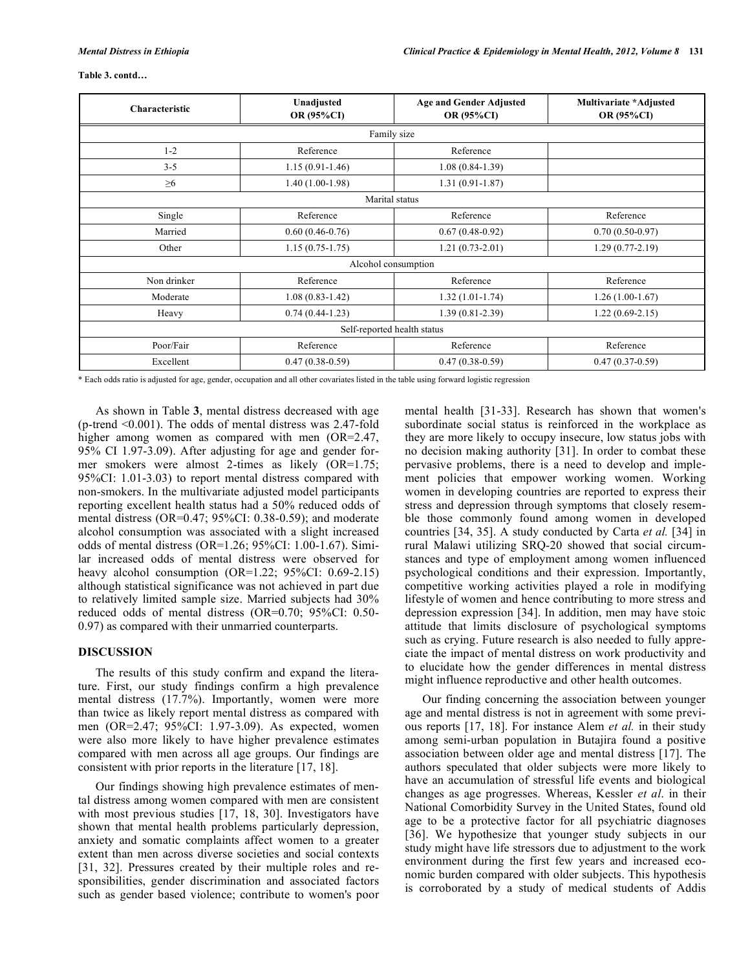#### **Table 3. contd…**

| Characteristic              | Unadjusted<br>OR (95%CI) | <b>Age and Gender Adjusted</b><br>OR (95%CI) | Multivariate *Adjusted<br><b>OR (95%CI)</b> |  |  |  |
|-----------------------------|--------------------------|----------------------------------------------|---------------------------------------------|--|--|--|
|                             | Family size              |                                              |                                             |  |  |  |
| $1 - 2$                     | Reference                | Reference                                    |                                             |  |  |  |
| $3 - 5$                     | $1.15(0.91-1.46)$        | $1.08(0.84-1.39)$                            |                                             |  |  |  |
| $\geq 6$                    | $1.40(1.00-1.98)$        | $1.31(0.91 - 1.87)$                          |                                             |  |  |  |
|                             | Marital status           |                                              |                                             |  |  |  |
| Single                      | Reference                | Reference                                    | Reference                                   |  |  |  |
| Married                     | $0.60(0.46-0.76)$        | $0.67(0.48-0.92)$                            | $0.70(0.50-0.97)$                           |  |  |  |
| Other                       | $1.15(0.75-1.75)$        | $1.21(0.73-2.01)$                            | $1.29(0.77-2.19)$                           |  |  |  |
|                             | Alcohol consumption      |                                              |                                             |  |  |  |
| Non drinker                 | Reference                | Reference                                    | Reference                                   |  |  |  |
| Moderate                    | $1.08(0.83 - 1.42)$      | $1.32(1.01-1.74)$                            | $1.26(1.00-1.67)$                           |  |  |  |
| Heavy                       | $0.74(0.44-1.23)$        | $1.39(0.81 - 2.39)$                          | $1.22(0.69-2.15)$                           |  |  |  |
| Self-reported health status |                          |                                              |                                             |  |  |  |
| Poor/Fair                   | Reference                | Reference                                    | Reference                                   |  |  |  |
| Excellent                   | $0.47(0.38-0.59)$        | $0.47(0.38-0.59)$                            | $0.47(0.37-0.59)$                           |  |  |  |

\* Each odds ratio is adjusted for age, gender, occupation and all other covariates listed in the table using forward logistic regression

As shown in Table **3**, mental distress decreased with age (p-trend <0.001). The odds of mental distress was 2.47-fold higher among women as compared with men (OR=2.47, 95% CI 1.97-3.09). After adjusting for age and gender former smokers were almost 2-times as likely (OR=1.75; 95%CI: 1.01-3.03) to report mental distress compared with non-smokers. In the multivariate adjusted model participants reporting excellent health status had a 50% reduced odds of mental distress (OR=0.47; 95%CI: 0.38-0.59); and moderate alcohol consumption was associated with a slight increased odds of mental distress (OR=1.26; 95%CI: 1.00-1.67). Similar increased odds of mental distress were observed for heavy alcohol consumption (OR=1.22; 95%CI: 0.69-2.15) although statistical significance was not achieved in part due to relatively limited sample size. Married subjects had 30% reduced odds of mental distress (OR=0.70; 95%CI: 0.50- 0.97) as compared with their unmarried counterparts.

## **DISCUSSION**

The results of this study confirm and expand the literature. First, our study findings confirm a high prevalence mental distress (17.7%). Importantly, women were more than twice as likely report mental distress as compared with men (OR=2.47; 95%CI: 1.97-3.09). As expected, women were also more likely to have higher prevalence estimates compared with men across all age groups. Our findings are consistent with prior reports in the literature [17, 18].

Our findings showing high prevalence estimates of mental distress among women compared with men are consistent with most previous studies [17, 18, 30]. Investigators have shown that mental health problems particularly depression, anxiety and somatic complaints affect women to a greater extent than men across diverse societies and social contexts [31, 32]. Pressures created by their multiple roles and responsibilities, gender discrimination and associated factors such as gender based violence; contribute to women's poor mental health [31-33]. Research has shown that women's subordinate social status is reinforced in the workplace as they are more likely to occupy insecure, low status jobs with no decision making authority [31]. In order to combat these pervasive problems, there is a need to develop and implement policies that empower working women. Working women in developing countries are reported to express their stress and depression through symptoms that closely resemble those commonly found among women in developed countries [34, 35]. A study conducted by Carta *et al.* [34] in rural Malawi utilizing SRQ-20 showed that social circumstances and type of employment among women influenced psychological conditions and their expression. Importantly, competitive working activities played a role in modifying lifestyle of women and hence contributing to more stress and depression expression [34]. In addition, men may have stoic attitude that limits disclosure of psychological symptoms such as crying. Future research is also needed to fully appreciate the impact of mental distress on work productivity and to elucidate how the gender differences in mental distress might influence reproductive and other health outcomes.

Our finding concerning the association between younger age and mental distress is not in agreement with some previous reports [17, 18]. For instance Alem *et al.* in their study among semi-urban population in Butajira found a positive association between older age and mental distress [17]. The authors speculated that older subjects were more likely to have an accumulation of stressful life events and biological changes as age progresses. Whereas, Kessler *et al*. in their National Comorbidity Survey in the United States, found old age to be a protective factor for all psychiatric diagnoses [36]. We hypothesize that younger study subjects in our study might have life stressors due to adjustment to the work environment during the first few years and increased economic burden compared with older subjects. This hypothesis is corroborated by a study of medical students of Addis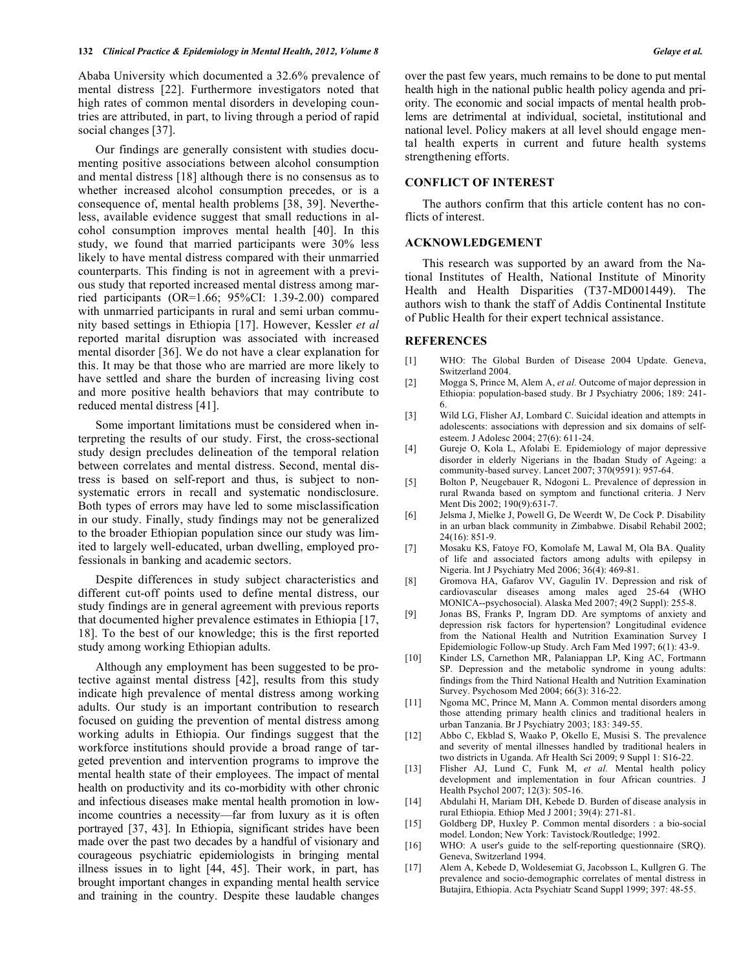Ababa University which documented a 32.6% prevalence of mental distress [22]. Furthermore investigators noted that high rates of common mental disorders in developing countries are attributed, in part, to living through a period of rapid social changes [37].

Our findings are generally consistent with studies documenting positive associations between alcohol consumption and mental distress [18] although there is no consensus as to whether increased alcohol consumption precedes, or is a consequence of, mental health problems [38, 39]. Nevertheless, available evidence suggest that small reductions in alcohol consumption improves mental health [40]. In this study, we found that married participants were 30% less likely to have mental distress compared with their unmarried counterparts. This finding is not in agreement with a previous study that reported increased mental distress among married participants (OR=1.66; 95%CI: 1.39-2.00) compared with unmarried participants in rural and semi urban community based settings in Ethiopia [17]. However, Kessler *et al* reported marital disruption was associated with increased mental disorder [36]. We do not have a clear explanation for this. It may be that those who are married are more likely to have settled and share the burden of increasing living cost and more positive health behaviors that may contribute to reduced mental distress [41].

Some important limitations must be considered when interpreting the results of our study. First, the cross-sectional study design precludes delineation of the temporal relation between correlates and mental distress. Second, mental distress is based on self-report and thus, is subject to nonsystematic errors in recall and systematic nondisclosure. Both types of errors may have led to some misclassification in our study. Finally, study findings may not be generalized to the broader Ethiopian population since our study was limited to largely well-educated, urban dwelling, employed professionals in banking and academic sectors.

Despite differences in study subject characteristics and different cut-off points used to define mental distress, our study findings are in general agreement with previous reports that documented higher prevalence estimates in Ethiopia [17, 18]. To the best of our knowledge; this is the first reported study among working Ethiopian adults.

Although any employment has been suggested to be protective against mental distress [42], results from this study indicate high prevalence of mental distress among working adults. Our study is an important contribution to research focused on guiding the prevention of mental distress among working adults in Ethiopia. Our findings suggest that the workforce institutions should provide a broad range of targeted prevention and intervention programs to improve the mental health state of their employees. The impact of mental health on productivity and its co-morbidity with other chronic and infectious diseases make mental health promotion in lowincome countries a necessity—far from luxury as it is often portrayed [37, 43]. In Ethiopia, significant strides have been made over the past two decades by a handful of visionary and courageous psychiatric epidemiologists in bringing mental illness issues in to light [44, 45]. Their work, in part, has brought important changes in expanding mental health service and training in the country. Despite these laudable changes over the past few years, much remains to be done to put mental health high in the national public health policy agenda and priority. The economic and social impacts of mental health problems are detrimental at individual, societal, institutional and national level. Policy makers at all level should engage mental health experts in current and future health systems strengthening efforts.

### **CONFLICT OF INTEREST**

The authors confirm that this article content has no conflicts of interest.

#### **ACKNOWLEDGEMENT**

This research was supported by an award from the National Institutes of Health, National Institute of Minority Health and Health Disparities (T37-MD001449). The authors wish to thank the staff of Addis Continental Institute of Public Health for their expert technical assistance.

#### **REFERENCES**

- [1] WHO: The Global Burden of Disease 2004 Update. Geneva, Switzerland 2004.
- [2] Mogga S, Prince M, Alem A, *et al.* Outcome of major depression in Ethiopia: population-based study. Br J Psychiatry 2006; 189: 241- 6.
- [3] Wild LG, Flisher AJ, Lombard C. Suicidal ideation and attempts in adolescents: associations with depression and six domains of selfesteem. J Adolesc 2004; 27(6): 611-24.
- [4] Gureje O, Kola L, Afolabi E. Epidemiology of major depressive disorder in elderly Nigerians in the Ibadan Study of Ageing: a community-based survey. Lancet 2007; 370(9591): 957-64.
- [5] Bolton P, Neugebauer R, Ndogoni L. Prevalence of depression in rural Rwanda based on symptom and functional criteria. J Nerv Ment Dis 2002; 190(9):631-7.
- [6] Jelsma J, Mielke J, Powell G, De Weerdt W, De Cock P. Disability in an urban black community in Zimbabwe. Disabil Rehabil 2002; 24(16): 851-9.
- [7] Mosaku KS, Fatoye FO, Komolafe M, Lawal M, Ola BA. Quality of life and associated factors among adults with epilepsy in Nigeria. Int J Psychiatry Med 2006; 36(4): 469-81.
- [8] Gromova HA, Gafarov VV, Gagulin IV. Depression and risk of cardiovascular diseases among males aged 25-64 (WHO MONICA--psychosocial). Alaska Med 2007; 49(2 Suppl): 255-8.
- [9] Jonas BS, Franks P, Ingram DD. Are symptoms of anxiety and depression risk factors for hypertension? Longitudinal evidence from the National Health and Nutrition Examination Survey I Epidemiologic Follow-up Study. Arch Fam Med 1997; 6(1): 43-9.
- [10] Kinder LS, Carnethon MR, Palaniappan LP, King AC, Fortmann SP. Depression and the metabolic syndrome in young adults: findings from the Third National Health and Nutrition Examination Survey. Psychosom Med 2004; 66(3): 316-22.
- [11] Ngoma MC, Prince M, Mann A. Common mental disorders among those attending primary health clinics and traditional healers in urban Tanzania. Br J Psychiatry 2003; 183: 349-55.
- [12] Abbo C, Ekblad S, Waako P, Okello E, Musisi S. The prevalence and severity of mental illnesses handled by traditional healers in two districts in Uganda. Afr Health Sci 2009; 9 Suppl 1: S16-22.
- [13] Flisher AJ, Lund C, Funk M, *et al.* Mental health policy development and implementation in four African countries. J Health Psychol 2007; 12(3): 505-16.
- [14] Abdulahi H, Mariam DH, Kebede D. Burden of disease analysis in rural Ethiopia. Ethiop Med J 2001; 39(4): 271-81.
- [15] Goldberg DP, Huxley P. Common mental disorders : a bio-social model. London; New York: Tavistock/Routledge; 1992.
- [16] WHO: A user's guide to the self-reporting questionnaire (SRQ). Geneva, Switzerland 1994.
- [17] Alem A, Kebede D, Woldesemiat G, Jacobsson L, Kullgren G. The prevalence and socio-demographic correlates of mental distress in Butajira, Ethiopia. Acta Psychiatr Scand Suppl 1999; 397: 48-55.